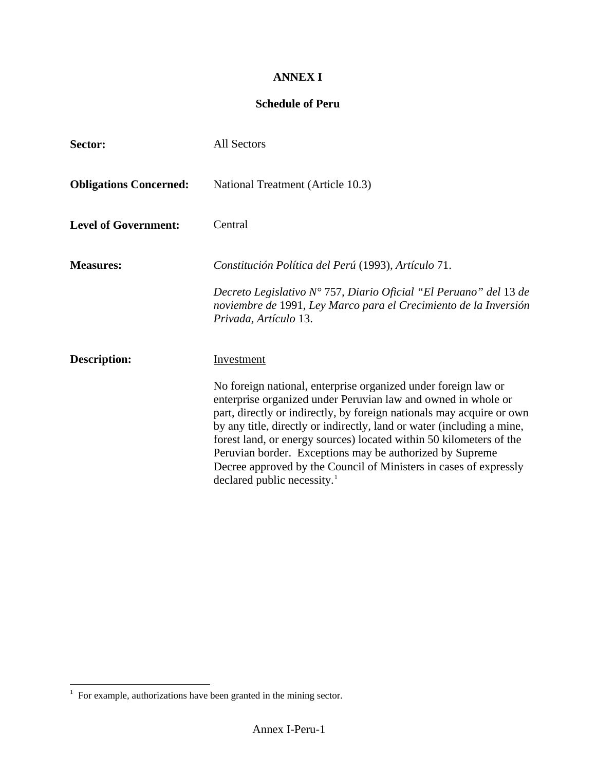## **ANNEX I**

## **Schedule of Peru**

| Sector:                       | All Sectors                                                                                                                                                                                                                                                                                                                                                                                                                                                                                                                           |  |
|-------------------------------|---------------------------------------------------------------------------------------------------------------------------------------------------------------------------------------------------------------------------------------------------------------------------------------------------------------------------------------------------------------------------------------------------------------------------------------------------------------------------------------------------------------------------------------|--|
| <b>Obligations Concerned:</b> | National Treatment (Article 10.3)                                                                                                                                                                                                                                                                                                                                                                                                                                                                                                     |  |
| <b>Level of Government:</b>   | Central                                                                                                                                                                                                                                                                                                                                                                                                                                                                                                                               |  |
| <b>Measures:</b>              | Constitución Política del Perú (1993), Artículo 71.                                                                                                                                                                                                                                                                                                                                                                                                                                                                                   |  |
|                               | Decreto Legislativo $N^{\circ}$ 757, Diario Oficial "El Peruano" del 13 de<br>noviembre de 1991, Ley Marco para el Crecimiento de la Inversión<br>Privada, Artículo 13.                                                                                                                                                                                                                                                                                                                                                               |  |
| <b>Description:</b>           | Investment                                                                                                                                                                                                                                                                                                                                                                                                                                                                                                                            |  |
|                               | No foreign national, enterprise organized under foreign law or<br>enterprise organized under Peruvian law and owned in whole or<br>part, directly or indirectly, by foreign nationals may acquire or own<br>by any title, directly or indirectly, land or water (including a mine,<br>forest land, or energy sources) located within 50 kilometers of the<br>Peruvian border. Exceptions may be authorized by Supreme<br>Decree approved by the Council of Ministers in cases of expressly<br>declared public necessity. <sup>1</sup> |  |

 $\overline{\phantom{a}}$ 

<span id="page-0-0"></span> 1 For example, authorizations have been granted in the mining sector.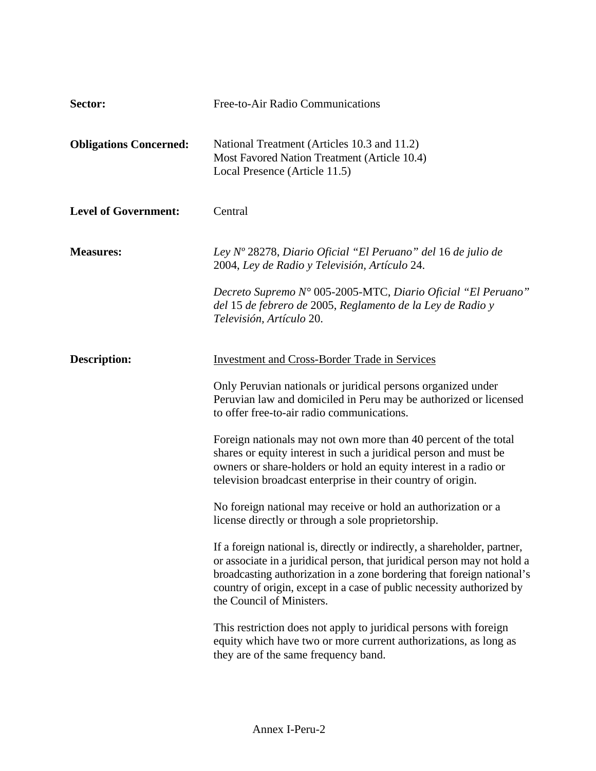| Sector:                       | Free-to-Air Radio Communications                                                                                                                                                                                                                                                                                                      |
|-------------------------------|---------------------------------------------------------------------------------------------------------------------------------------------------------------------------------------------------------------------------------------------------------------------------------------------------------------------------------------|
| <b>Obligations Concerned:</b> | National Treatment (Articles 10.3 and 11.2)<br>Most Favored Nation Treatment (Article 10.4)<br>Local Presence (Article 11.5)                                                                                                                                                                                                          |
| <b>Level of Government:</b>   | Central                                                                                                                                                                                                                                                                                                                               |
| <b>Measures:</b>              | Ley Nº 28278, Diario Oficial "El Peruano" del 16 de julio de<br>2004, Ley de Radio y Televisión, Artículo 24.                                                                                                                                                                                                                         |
|                               | Decreto Supremo N° 005-2005-MTC, Diario Oficial "El Peruano"<br>del 15 de febrero de 2005, Reglamento de la Ley de Radio y<br>Televisión, Artículo 20.                                                                                                                                                                                |
| <b>Description:</b>           | <b>Investment and Cross-Border Trade in Services</b>                                                                                                                                                                                                                                                                                  |
|                               | Only Peruvian nationals or juridical persons organized under<br>Peruvian law and domiciled in Peru may be authorized or licensed<br>to offer free-to-air radio communications.                                                                                                                                                        |
|                               | Foreign nationals may not own more than 40 percent of the total<br>shares or equity interest in such a juridical person and must be<br>owners or share-holders or hold an equity interest in a radio or<br>television broadcast enterprise in their country of origin.                                                                |
|                               | No foreign national may receive or hold an authorization or a<br>license directly or through a sole proprietorship.                                                                                                                                                                                                                   |
|                               | If a foreign national is, directly or indirectly, a shareholder, partner,<br>or associate in a juridical person, that juridical person may not hold a<br>broadcasting authorization in a zone bordering that foreign national's<br>country of origin, except in a case of public necessity authorized by<br>the Council of Ministers. |
|                               | This restriction does not apply to juridical persons with foreign<br>equity which have two or more current authorizations, as long as<br>they are of the same frequency band.                                                                                                                                                         |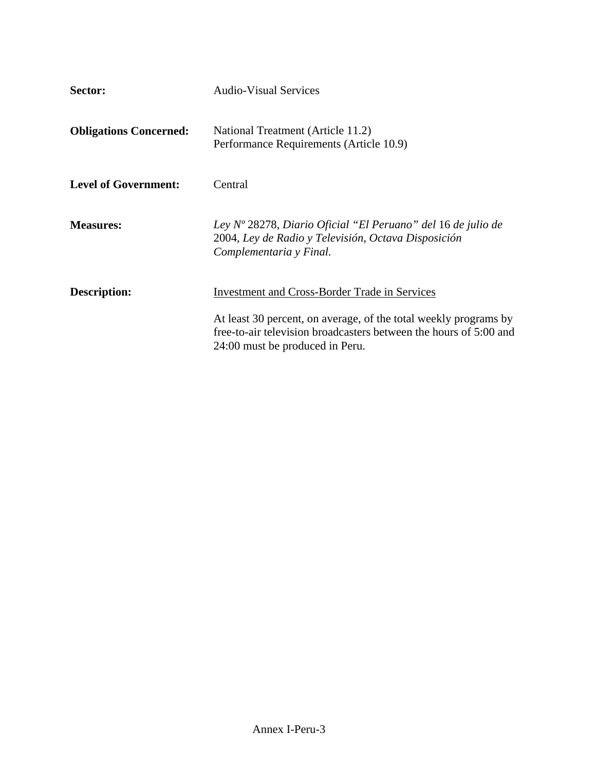| Sector:                       | <b>Audio-Visual Services</b>                                                                                                                                             |
|-------------------------------|--------------------------------------------------------------------------------------------------------------------------------------------------------------------------|
| <b>Obligations Concerned:</b> | National Treatment (Article 11.2)<br>Performance Requirements (Article 10.9)                                                                                             |
| <b>Level of Government:</b>   | Central                                                                                                                                                                  |
| <b>Measures:</b>              | Ley Nº 28278, Diario Oficial "El Peruano" del 16 de julio de<br>2004, Ley de Radio y Televisión, Octava Disposición<br>Complementaria y Final.                           |
| <b>Description:</b>           | <b>Investment and Cross-Border Trade in Services</b>                                                                                                                     |
|                               | At least 30 percent, on average, of the total weekly programs by<br>free-to-air television broadcasters between the hours of 5:00 and<br>24:00 must be produced in Peru. |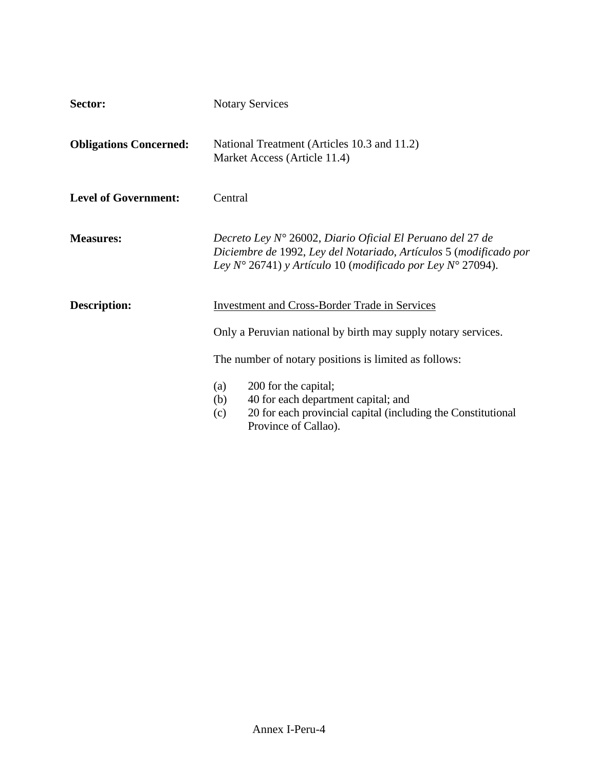| Sector:                       | <b>Notary Services</b>                                                                                                                                                                                         |  |  |
|-------------------------------|----------------------------------------------------------------------------------------------------------------------------------------------------------------------------------------------------------------|--|--|
| <b>Obligations Concerned:</b> | National Treatment (Articles 10.3 and 11.2)<br>Market Access (Article 11.4)                                                                                                                                    |  |  |
| <b>Level of Government:</b>   | Central                                                                                                                                                                                                        |  |  |
| <b>Measures:</b>              | Decreto Ley N° 26002, Diario Oficial El Peruano del 27 de<br>Diciembre de 1992, Ley del Notariado, Artículos 5 (modificado por<br>Ley $N^{\circ}$ 26741) y Artículo 10 (modificado por Ley $N^{\circ}$ 27094). |  |  |
| <b>Description:</b>           | <b>Investment and Cross-Border Trade in Services</b><br>Only a Peruvian national by birth may supply notary services.                                                                                          |  |  |
|                               | The number of notary positions is limited as follows:                                                                                                                                                          |  |  |
|                               | 200 for the capital;<br>(a)<br>40 for each department capital; and<br>(b)<br>20 for each provincial capital (including the Constitutional<br>(c)<br>Province of Callao).                                       |  |  |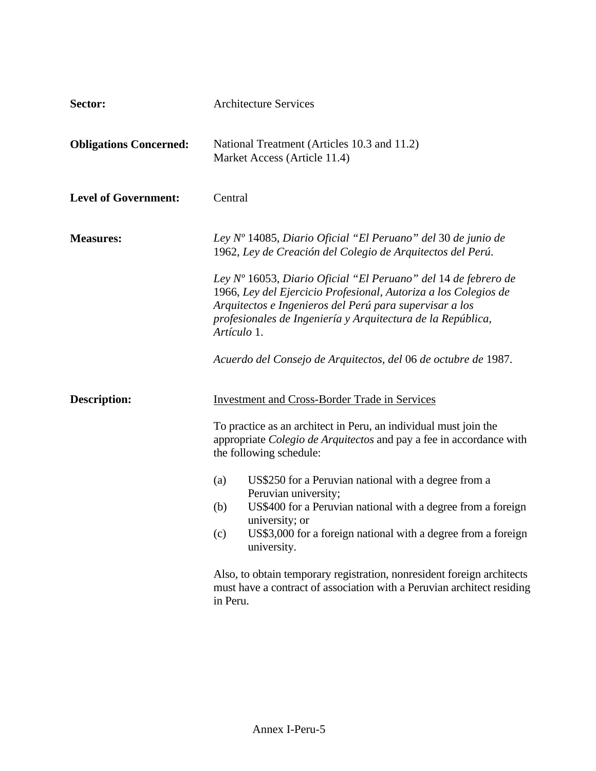| Sector:                       | <b>Architecture Services</b>                                                                                                                                                                                                                                                 |  |
|-------------------------------|------------------------------------------------------------------------------------------------------------------------------------------------------------------------------------------------------------------------------------------------------------------------------|--|
| <b>Obligations Concerned:</b> | National Treatment (Articles 10.3 and 11.2)<br>Market Access (Article 11.4)                                                                                                                                                                                                  |  |
| <b>Level of Government:</b>   | Central                                                                                                                                                                                                                                                                      |  |
| <b>Measures:</b>              | Ley $No$ 14085, Diario Oficial "El Peruano" del 30 de junio de<br>1962, Ley de Creación del Colegio de Arquitectos del Perú.                                                                                                                                                 |  |
|                               | Ley $No$ 16053, Diario Oficial "El Peruano" del 14 de febrero de<br>1966, Ley del Ejercicio Profesional, Autoriza a los Colegios de<br>Arquitectos e Ingenieros del Perú para supervisar a los<br>profesionales de Ingeniería y Arquitectura de la República,<br>Artículo 1. |  |
|                               | Acuerdo del Consejo de Arquitectos, del 06 de octubre de 1987.                                                                                                                                                                                                               |  |
| <b>Description:</b>           | <b>Investment and Cross-Border Trade in Services</b>                                                                                                                                                                                                                         |  |
|                               | To practice as an architect in Peru, an individual must join the<br>appropriate Colegio de Arquitectos and pay a fee in accordance with<br>the following schedule:                                                                                                           |  |
|                               | US\$250 for a Peruvian national with a degree from a<br>(a)<br>Peruvian university;                                                                                                                                                                                          |  |
|                               | US\$400 for a Peruvian national with a degree from a foreign<br>(b)<br>university; or                                                                                                                                                                                        |  |
|                               | US\$3,000 for a foreign national with a degree from a foreign<br>(c)<br>university.                                                                                                                                                                                          |  |
|                               | Also, to obtain temporary registration, nonresident foreign architects<br>must have a contract of association with a Peruvian architect residing<br>in Peru.                                                                                                                 |  |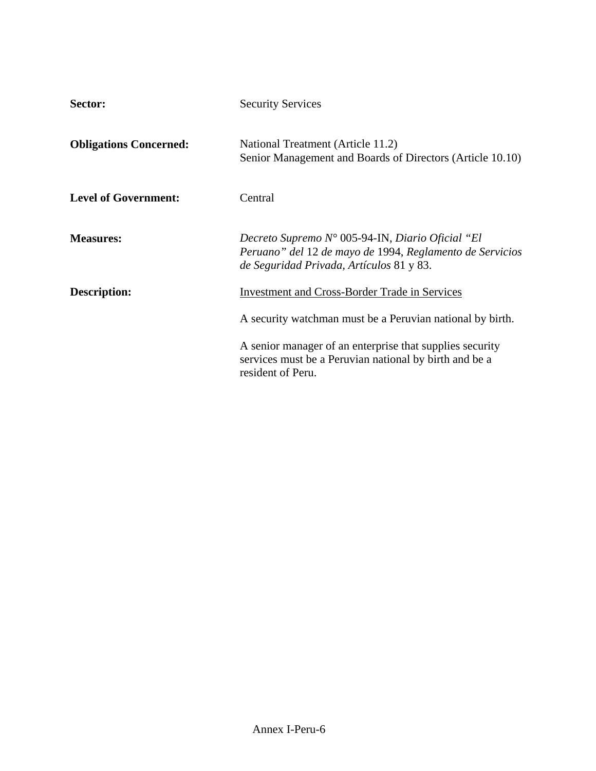| Sector:                       | <b>Security Services</b>                                                                                                                                          |
|-------------------------------|-------------------------------------------------------------------------------------------------------------------------------------------------------------------|
| <b>Obligations Concerned:</b> | National Treatment (Article 11.2)<br>Senior Management and Boards of Directors (Article 10.10)                                                                    |
| <b>Level of Government:</b>   | Central                                                                                                                                                           |
| <b>Measures:</b>              | Decreto Supremo $N^{\circ}$ 005-94-IN, Diario Oficial "El<br>Peruano" del 12 de mayo de 1994, Reglamento de Servicios<br>de Seguridad Privada, Artículos 81 y 83. |
| <b>Description:</b>           | <b>Investment and Cross-Border Trade in Services</b>                                                                                                              |
|                               | A security watchman must be a Peruvian national by birth.                                                                                                         |
|                               | A senior manager of an enterprise that supplies security<br>services must be a Peruvian national by birth and be a<br>resident of Peru.                           |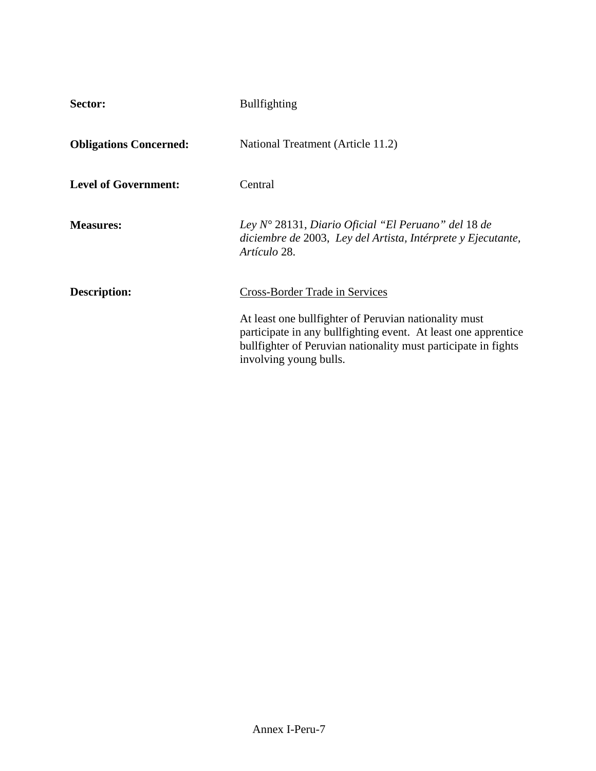| Sector:                       | <b>Bullfighting</b>                                                                                                                                                                                                  |
|-------------------------------|----------------------------------------------------------------------------------------------------------------------------------------------------------------------------------------------------------------------|
| <b>Obligations Concerned:</b> | National Treatment (Article 11.2)                                                                                                                                                                                    |
| <b>Level of Government:</b>   | Central                                                                                                                                                                                                              |
| <b>Measures:</b>              | Ley $N^{\circ}$ 28131, Diario Oficial "El Peruano" del 18 de<br>diciembre de 2003, Ley del Artista, Intérprete y Ejecutante,<br>Artículo 28.                                                                         |
| <b>Description:</b>           | <b>Cross-Border Trade in Services</b>                                                                                                                                                                                |
|                               | At least one bullfighter of Peruvian nationality must<br>participate in any bullfighting event. At least one apprentice<br>bull fighter of Peruvian nationality must participate in fights<br>involving young bulls. |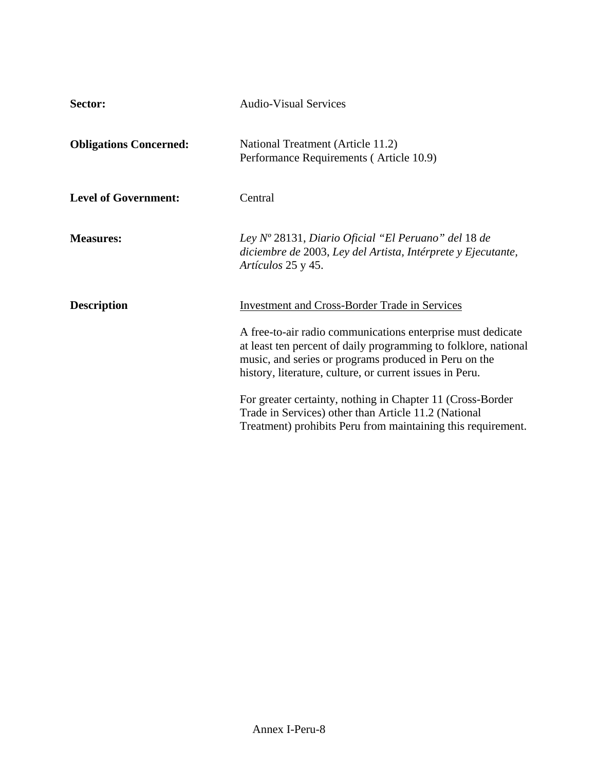| Sector:                       | <b>Audio-Visual Services</b>                                                                                                                                                                                                                        |
|-------------------------------|-----------------------------------------------------------------------------------------------------------------------------------------------------------------------------------------------------------------------------------------------------|
| <b>Obligations Concerned:</b> | National Treatment (Article 11.2)<br>Performance Requirements (Article 10.9)                                                                                                                                                                        |
| <b>Level of Government:</b>   | Central                                                                                                                                                                                                                                             |
| <b>Measures:</b>              | Ley $N^o$ 28131, Diario Oficial "El Peruano" del 18 de<br>diciembre de 2003, Ley del Artista, Intérprete y Ejecutante,<br>Artículos 25 y 45.                                                                                                        |
| <b>Description</b>            | <b>Investment and Cross-Border Trade in Services</b>                                                                                                                                                                                                |
|                               | A free-to-air radio communications enterprise must dedicate<br>at least ten percent of daily programming to folklore, national<br>music, and series or programs produced in Peru on the<br>history, literature, culture, or current issues in Peru. |
|                               | For greater certainty, nothing in Chapter 11 (Cross-Border)<br>Trade in Services) other than Article 11.2 (National<br>Treatment) prohibits Peru from maintaining this requirement.                                                                 |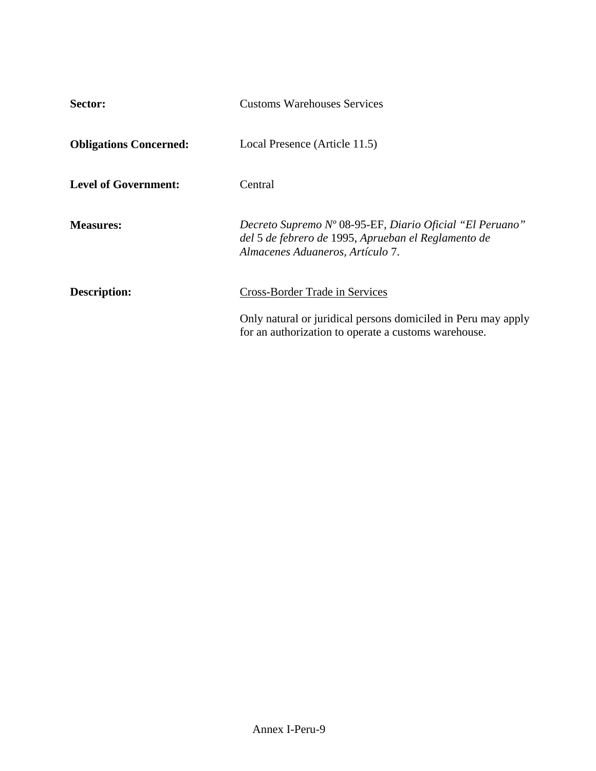| Sector:                       | <b>Customs Warehouses Services</b>                                                                                                                  |
|-------------------------------|-----------------------------------------------------------------------------------------------------------------------------------------------------|
| <b>Obligations Concerned:</b> | Local Presence (Article 11.5)                                                                                                                       |
| <b>Level of Government:</b>   | Central                                                                                                                                             |
| <b>Measures:</b>              | Decreto Supremo Nº 08-95-EF, Diario Oficial "El Peruano"<br>del 5 de febrero de 1995, Aprueban el Reglamento de<br>Almacenes Aduaneros, Artículo 7. |
| <b>Description:</b>           | <b>Cross-Border Trade in Services</b>                                                                                                               |
|                               | Only natural or juridical persons domiciled in Peru may apply<br>for an authorization to operate a customs warehouse.                               |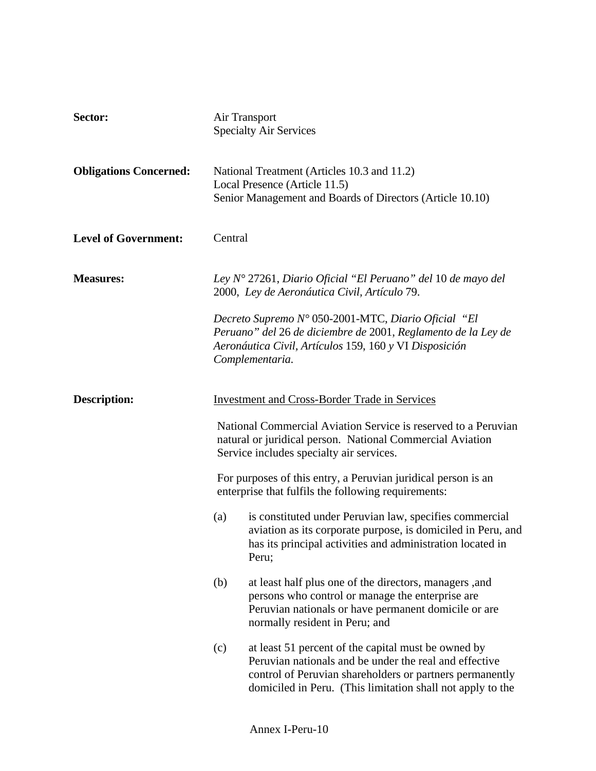| Sector:                       | Air Transport<br><b>Specialty Air Services</b> |                                                                                                                                                                                                                                         |
|-------------------------------|------------------------------------------------|-----------------------------------------------------------------------------------------------------------------------------------------------------------------------------------------------------------------------------------------|
| <b>Obligations Concerned:</b> |                                                | National Treatment (Articles 10.3 and 11.2)<br>Local Presence (Article 11.5)<br>Senior Management and Boards of Directors (Article 10.10)                                                                                               |
| <b>Level of Government:</b>   | Central                                        |                                                                                                                                                                                                                                         |
| <b>Measures:</b>              |                                                | Ley $N^{\circ}$ 27261, Diario Oficial "El Peruano" del 10 de mayo del<br>2000, Ley de Aeronáutica Civil, Artículo 79.                                                                                                                   |
|                               |                                                | Decreto Supremo N° 050-2001-MTC, Diario Oficial "El<br>Peruano" del 26 de diciembre de 2001, Reglamento de la Ley de<br>Aeronáutica Civil, Artículos 159, 160 y VI Disposición<br>Complementaria.                                       |
| <b>Description:</b>           |                                                | <b>Investment and Cross-Border Trade in Services</b>                                                                                                                                                                                    |
|                               |                                                | National Commercial Aviation Service is reserved to a Peruvian<br>natural or juridical person. National Commercial Aviation<br>Service includes specialty air services.                                                                 |
|                               |                                                | For purposes of this entry, a Peruvian juridical person is an<br>enterprise that fulfils the following requirements:                                                                                                                    |
|                               | (a)                                            | is constituted under Peruvian law, specifies commercial<br>aviation as its corporate purpose, is domiciled in Peru, and<br>has its principal activities and administration located in<br>Peru;                                          |
|                               | (b)                                            | at least half plus one of the directors, managers, and<br>persons who control or manage the enterprise are<br>Peruvian nationals or have permanent domicile or are<br>normally resident in Peru; and                                    |
|                               | (c)                                            | at least 51 percent of the capital must be owned by<br>Peruvian nationals and be under the real and effective<br>control of Peruvian shareholders or partners permanently<br>domiciled in Peru. (This limitation shall not apply to the |
|                               |                                                |                                                                                                                                                                                                                                         |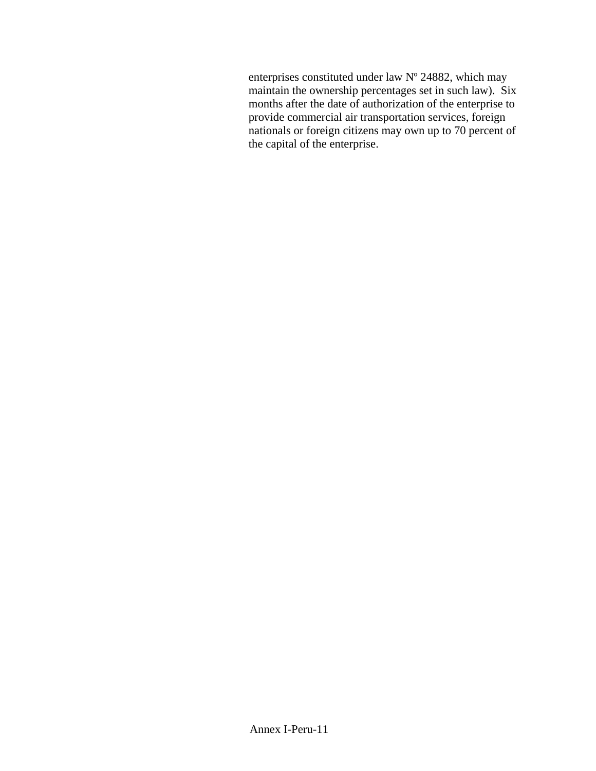enterprises constituted under law Nº 24882, which may maintain the ownership percentages set in such law). Six months after the date of authorization of the enterprise to provide commercial air transportation services, foreign nationals or foreign citizens may own up to 70 percent of the capital of the enterprise.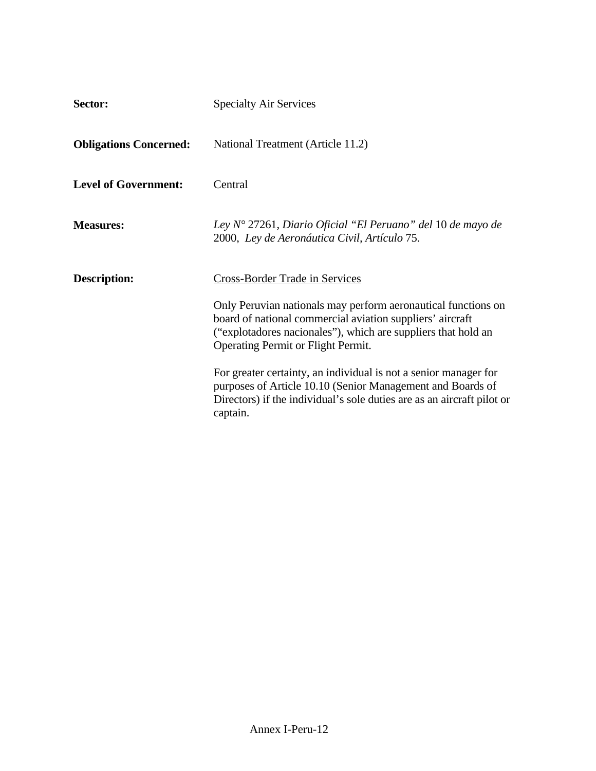| Sector:                       | <b>Specialty Air Services</b>                                                                                                                                                                                                     |  |
|-------------------------------|-----------------------------------------------------------------------------------------------------------------------------------------------------------------------------------------------------------------------------------|--|
| <b>Obligations Concerned:</b> | National Treatment (Article 11.2)                                                                                                                                                                                                 |  |
| <b>Level of Government:</b>   | Central                                                                                                                                                                                                                           |  |
| <b>Measures:</b>              | Ley $N^{\circ}$ 27261, Diario Oficial "El Peruano" del 10 de mayo de<br>2000, Ley de Aeronáutica Civil, Artículo 75.                                                                                                              |  |
| <b>Description:</b>           | Cross-Border Trade in Services                                                                                                                                                                                                    |  |
|                               | Only Peruvian nationals may perform aeronautical functions on<br>board of national commercial aviation suppliers' aircraft<br>("explotadores nacionales"), which are suppliers that hold an<br>Operating Permit or Flight Permit. |  |
|                               | For greater certainty, an individual is not a senior manager for<br>purposes of Article 10.10 (Senior Management and Boards of<br>Directors) if the individual's sole duties are as an aircraft pilot or<br>captain.              |  |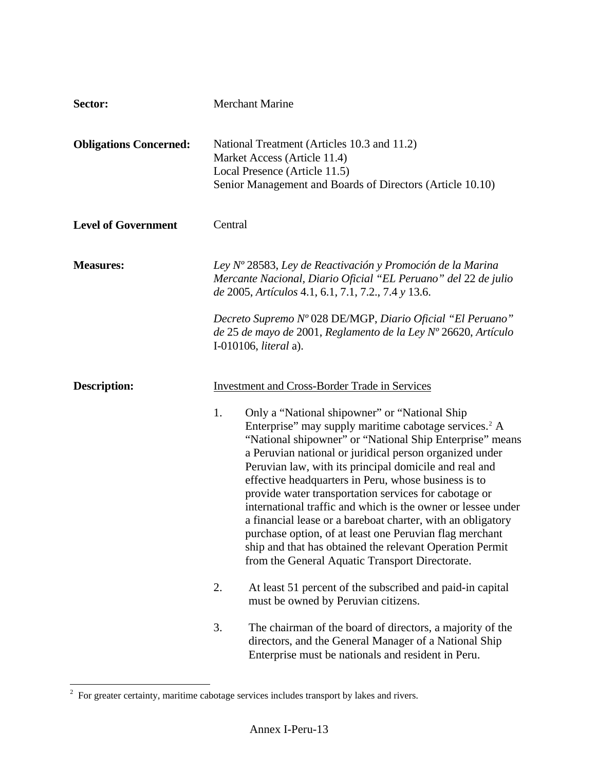| Sector:                       | <b>Merchant Marine</b>                                                                                                                                                                                                                                                                                                                                                                                                                                                                                                                                                                                                                                                                                                                                                                      |
|-------------------------------|---------------------------------------------------------------------------------------------------------------------------------------------------------------------------------------------------------------------------------------------------------------------------------------------------------------------------------------------------------------------------------------------------------------------------------------------------------------------------------------------------------------------------------------------------------------------------------------------------------------------------------------------------------------------------------------------------------------------------------------------------------------------------------------------|
| <b>Obligations Concerned:</b> | National Treatment (Articles 10.3 and 11.2)<br>Market Access (Article 11.4)<br>Local Presence (Article 11.5)<br>Senior Management and Boards of Directors (Article 10.10)                                                                                                                                                                                                                                                                                                                                                                                                                                                                                                                                                                                                                   |
| <b>Level of Government</b>    | Central                                                                                                                                                                                                                                                                                                                                                                                                                                                                                                                                                                                                                                                                                                                                                                                     |
| <b>Measures:</b>              | Ley Nº 28583, Ley de Reactivación y Promoción de la Marina<br>Mercante Nacional, Diario Oficial "EL Peruano" del 22 de julio<br>de 2005, Artículos 4.1, 6.1, 7.1, 7.2., 7.4 y 13.6.<br>Decreto Supremo Nº 028 DE/MGP, Diario Oficial "El Peruano"<br>de 25 de mayo de 2001, Reglamento de la Ley Nº 26620, Artículo<br>I-010106, <i>literal</i> a).                                                                                                                                                                                                                                                                                                                                                                                                                                         |
| <b>Description:</b>           | <b>Investment and Cross-Border Trade in Services</b><br>Only a "National shipowner" or "National Ship<br>1.<br>Enterprise" may supply maritime cabotage services. <sup>2</sup> A<br>"National shipowner" or "National Ship Enterprise" means<br>a Peruvian national or juridical person organized under<br>Peruvian law, with its principal domicile and real and<br>effective headquarters in Peru, whose business is to<br>provide water transportation services for cabotage or<br>international traffic and which is the owner or lessee under<br>a financial lease or a bareboat charter, with an obligatory<br>purchase option, of at least one Peruvian flag merchant<br>ship and that has obtained the relevant Operation Permit<br>from the General Aquatic Transport Directorate. |
|                               | At least 51 percent of the subscribed and paid-in capital<br>2.<br>must be owned by Peruvian citizens.                                                                                                                                                                                                                                                                                                                                                                                                                                                                                                                                                                                                                                                                                      |
|                               | 3.<br>The chairman of the board of directors, a majority of the<br>directors, and the General Manager of a National Ship<br>Enterprise must be nationals and resident in Peru.                                                                                                                                                                                                                                                                                                                                                                                                                                                                                                                                                                                                              |

<span id="page-12-0"></span>The sum of the set of the set of the services includes transport by lakes and rivers.<br><sup>2</sup> For greater certainty, maritime cabotage services includes transport by lakes and rivers.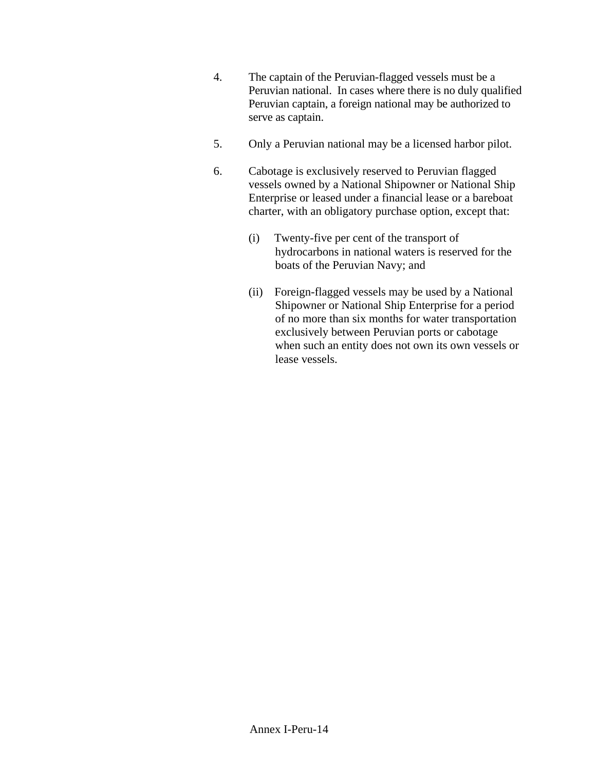- 4. The captain of the Peruvian-flagged vessels must be a Peruvian national. In cases where there is no duly qualified Peruvian captain, a foreign national may be authorized to serve as captain.
- 5. Only a Peruvian national may be a licensed harbor pilot.
- 6. Cabotage is exclusively reserved to Peruvian flagged vessels owned by a National Shipowner or National Ship Enterprise or leased under a financial lease or a bareboat charter, with an obligatory purchase option, except that:
	- (i) Twenty-five per cent of the transport of hydrocarbons in national waters is reserved for the boats of the Peruvian Navy; and
	- (ii) Foreign-flagged vessels may be used by a National Shipowner or National Ship Enterprise for a period of no more than six months for water transportation exclusively between Peruvian ports or cabotage when such an entity does not own its own vessels or lease vessels.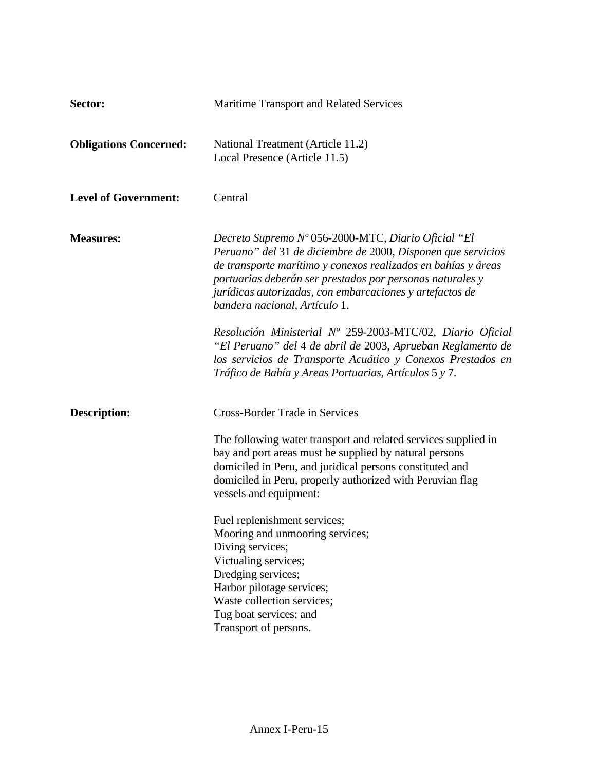| Sector:                       | Maritime Transport and Related Services                                                                                                                                                                                                                                                                                                        |
|-------------------------------|------------------------------------------------------------------------------------------------------------------------------------------------------------------------------------------------------------------------------------------------------------------------------------------------------------------------------------------------|
| <b>Obligations Concerned:</b> | National Treatment (Article 11.2)<br>Local Presence (Article 11.5)                                                                                                                                                                                                                                                                             |
| <b>Level of Government:</b>   | Central                                                                                                                                                                                                                                                                                                                                        |
| <b>Measures:</b>              | Decreto Supremo Nº 056-2000-MTC, Diario Oficial "El<br>Peruano" del 31 de diciembre de 2000, Disponen que servicios<br>de transporte marítimo y conexos realizados en bahías y áreas<br>portuarias deberán ser prestados por personas naturales y<br>jurídicas autorizadas, con embarcaciones y artefactos de<br>bandera nacional, Artículo 1. |
|                               | Resolución Ministerial Nº 259-2003-MTC/02, Diario Oficial<br>"El Peruano" del 4 de abril de 2003, Aprueban Reglamento de<br>los servicios de Transporte Acuático y Conexos Prestados en<br>Tráfico de Bahía y Areas Portuarias, Artículos 5 y 7.                                                                                               |
| <b>Description:</b>           | <b>Cross-Border Trade in Services</b>                                                                                                                                                                                                                                                                                                          |
|                               | The following water transport and related services supplied in<br>bay and port areas must be supplied by natural persons<br>domiciled in Peru, and juridical persons constituted and<br>domiciled in Peru, properly authorized with Peruvian flag<br>vessels and equipment:                                                                    |
|                               | Fuel replenishment services;<br>Mooring and unmooring services;<br>Diving services;<br>Victualing services;<br>Dredging services;<br>Harbor pilotage services;<br>Waste collection services;<br>Tug boat services; and<br>Transport of persons.                                                                                                |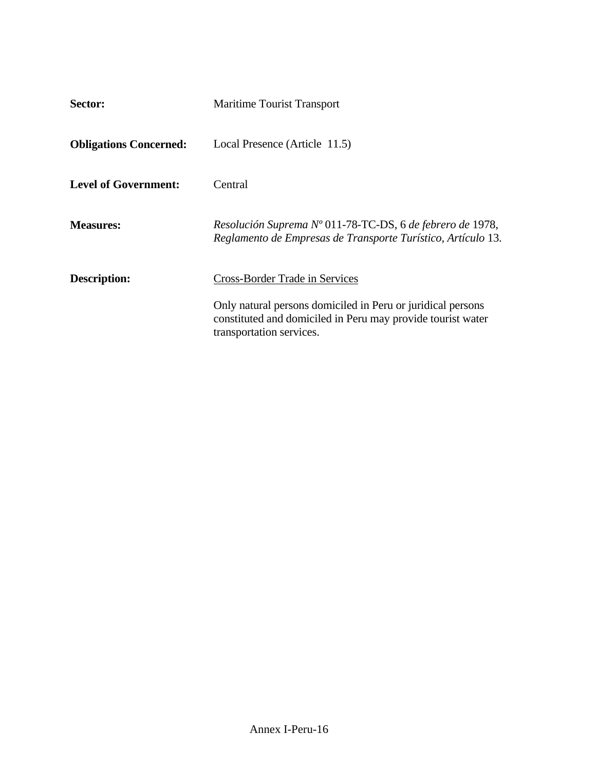| Sector:                       | <b>Maritime Tourist Transport</b>                                                                                                                      |
|-------------------------------|--------------------------------------------------------------------------------------------------------------------------------------------------------|
| <b>Obligations Concerned:</b> | Local Presence (Article 11.5)                                                                                                                          |
| <b>Level of Government:</b>   | Central                                                                                                                                                |
| <b>Measures:</b>              | Resolución Suprema Nº 011-78-TC-DS, 6 de febrero de 1978,<br>Reglamento de Empresas de Transporte Turístico, Artículo 13.                              |
| <b>Description:</b>           | <b>Cross-Border Trade in Services</b>                                                                                                                  |
|                               | Only natural persons domiciled in Peru or juridical persons<br>constituted and domiciled in Peru may provide tourist water<br>transportation services. |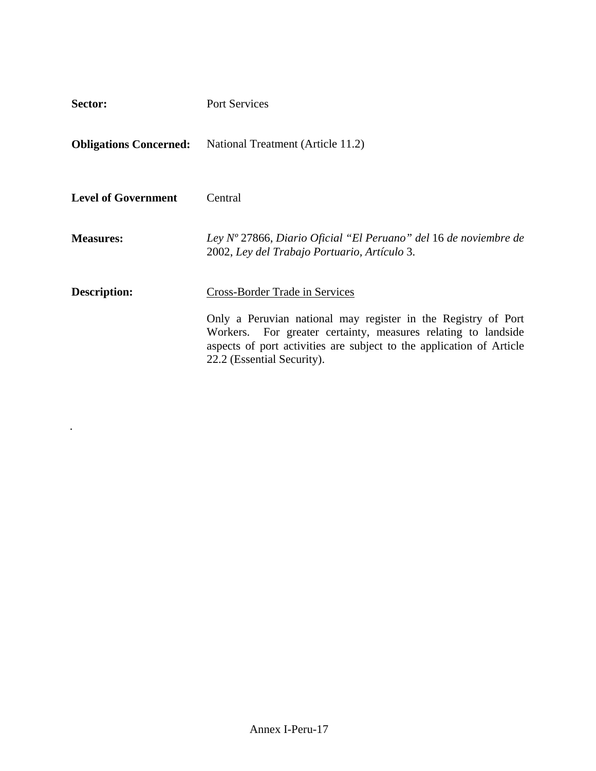| Sector:                    | Port Services                                                                                                                                                                                                                                                                 |
|----------------------------|-------------------------------------------------------------------------------------------------------------------------------------------------------------------------------------------------------------------------------------------------------------------------------|
|                            | <b>Obligations Concerned:</b> National Treatment (Article 11.2)                                                                                                                                                                                                               |
| <b>Level of Government</b> | Central                                                                                                                                                                                                                                                                       |
| <b>Measures:</b>           | Ley $N^{\circ}$ 27866, Diario Oficial "El Peruano" del 16 de noviembre de<br>2002, Ley del Trabajo Portuario, Artículo 3.                                                                                                                                                     |
| <b>Description:</b>        | <b>Cross-Border Trade in Services</b><br>Only a Peruvian national may register in the Registry of Port<br>Workers. For greater certainty, measures relating to landside<br>aspects of port activities are subject to the application of Article<br>22.2 (Essential Security). |

*.*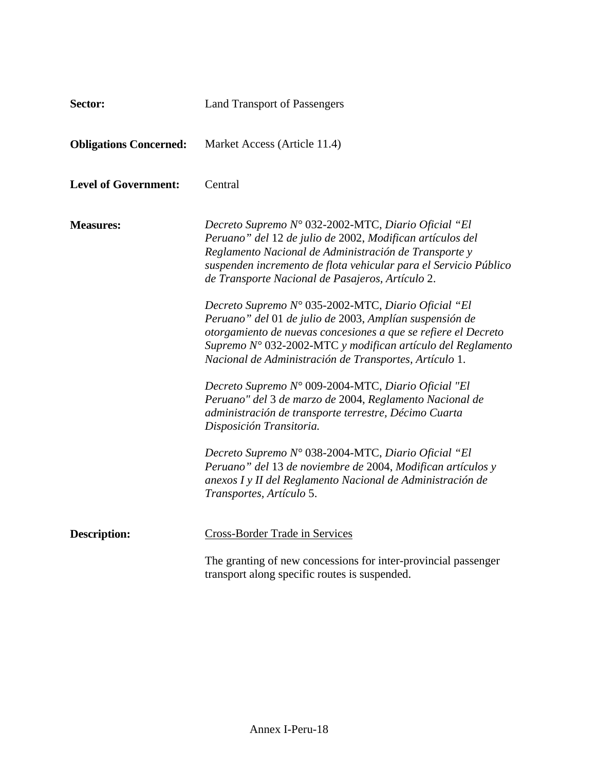| Sector:                       | <b>Land Transport of Passengers</b>                                                                                                                                                                                                                                                                                |
|-------------------------------|--------------------------------------------------------------------------------------------------------------------------------------------------------------------------------------------------------------------------------------------------------------------------------------------------------------------|
| <b>Obligations Concerned:</b> | Market Access (Article 11.4)                                                                                                                                                                                                                                                                                       |
| <b>Level of Government:</b>   | Central                                                                                                                                                                                                                                                                                                            |
| <b>Measures:</b>              | Decreto Supremo N° 032-2002-MTC, Diario Oficial "El<br>Peruano" del 12 de julio de 2002, Modifican artículos del<br>Reglamento Nacional de Administración de Transporte y<br>suspenden incremento de flota vehicular para el Servicio Público<br>de Transporte Nacional de Pasajeros, Artículo 2.                  |
|                               | Decreto Supremo Nº 035-2002-MTC, Diario Oficial "El<br>Peruano" del 01 de julio de 2003, Amplían suspensión de<br>otorgamiento de nuevas concesiones a que se refiere el Decreto<br>Supremo $N^{\circ}$ 032-2002-MTC y modifican artículo del Reglamento<br>Nacional de Administración de Transportes, Artículo 1. |
|                               | Decreto Supremo N° 009-2004-MTC, Diario Oficial "El<br>Peruano" del 3 de marzo de 2004, Reglamento Nacional de<br>administración de transporte terrestre, Décimo Cuarta<br>Disposición Transitoria.                                                                                                                |
|                               | Decreto Supremo Nº 038-2004-MTC, Diario Oficial "El<br>Peruano" del 13 de noviembre de 2004, Modifican artículos y<br>anexos I y II del Reglamento Nacional de Administración de<br>Transportes, Artículo 5.                                                                                                       |
| <b>Description:</b>           | <b>Cross-Border Trade in Services</b>                                                                                                                                                                                                                                                                              |
|                               | The granting of new concessions for inter-provincial passenger<br>transport along specific routes is suspended.                                                                                                                                                                                                    |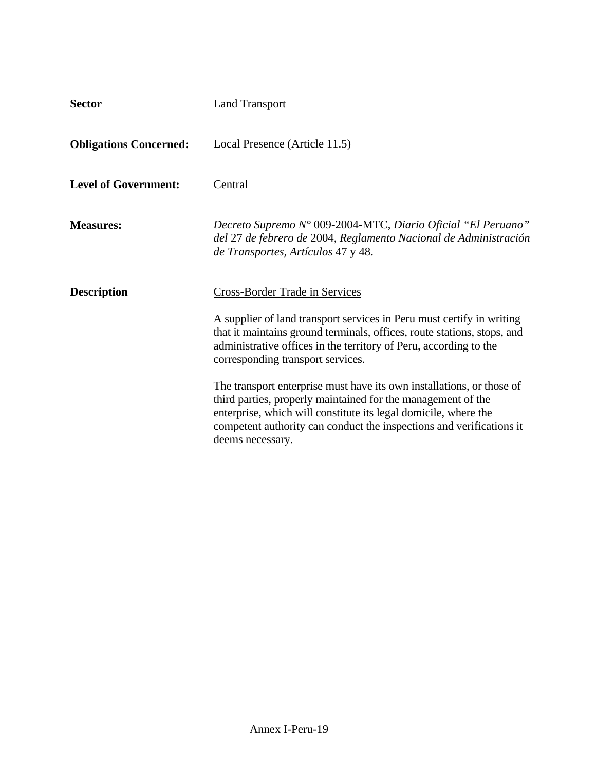| <b>Sector</b>                 | <b>Land Transport</b>                                                                                                                                                                                                                                                                                |
|-------------------------------|------------------------------------------------------------------------------------------------------------------------------------------------------------------------------------------------------------------------------------------------------------------------------------------------------|
| <b>Obligations Concerned:</b> | Local Presence (Article 11.5)                                                                                                                                                                                                                                                                        |
| <b>Level of Government:</b>   | Central                                                                                                                                                                                                                                                                                              |
| <b>Measures:</b>              | Decreto Supremo N° 009-2004-MTC, Diario Oficial "El Peruano"<br>del 27 de febrero de 2004, Reglamento Nacional de Administración<br>de Transportes, Artículos 47 y 48.                                                                                                                               |
| <b>Description</b>            | Cross-Border Trade in Services                                                                                                                                                                                                                                                                       |
|                               | A supplier of land transport services in Peru must certify in writing<br>that it maintains ground terminals, offices, route stations, stops, and<br>administrative offices in the territory of Peru, according to the<br>corresponding transport services.                                           |
|                               | The transport enterprise must have its own installations, or those of<br>third parties, properly maintained for the management of the<br>enterprise, which will constitute its legal domicile, where the<br>competent authority can conduct the inspections and verifications it<br>deems necessary. |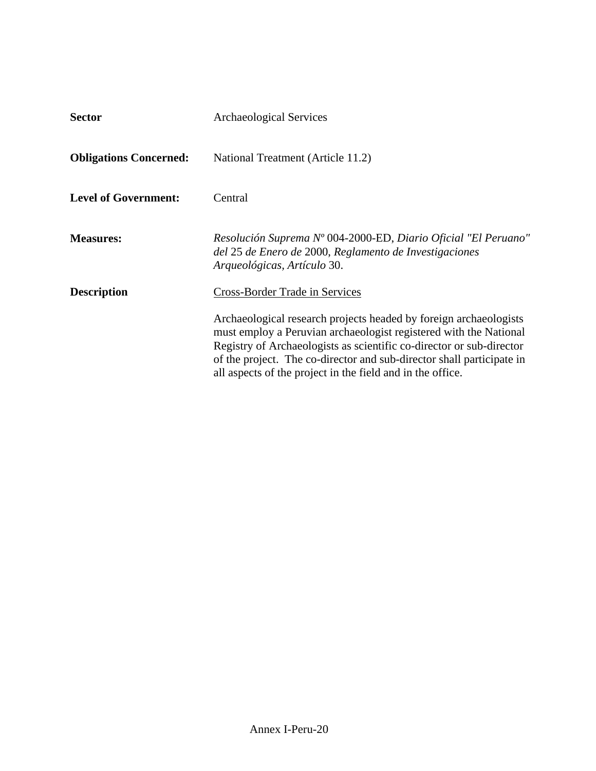| <b>Sector</b>                 | <b>Archaeological Services</b>                                                                                                                                                                                                                                                                                                                        |
|-------------------------------|-------------------------------------------------------------------------------------------------------------------------------------------------------------------------------------------------------------------------------------------------------------------------------------------------------------------------------------------------------|
| <b>Obligations Concerned:</b> | National Treatment (Article 11.2)                                                                                                                                                                                                                                                                                                                     |
| <b>Level of Government:</b>   | Central                                                                                                                                                                                                                                                                                                                                               |
| <b>Measures:</b>              | Resolución Suprema Nº 004-2000-ED, Diario Oficial "El Peruano"<br>del 25 de Enero de 2000, Reglamento de Investigaciones<br>Arqueológicas, Artículo 30.                                                                                                                                                                                               |
| <b>Description</b>            | <b>Cross-Border Trade in Services</b>                                                                                                                                                                                                                                                                                                                 |
|                               | Archaeological research projects headed by foreign archaeologists<br>must employ a Peruvian archaeologist registered with the National<br>Registry of Archaeologists as scientific co-director or sub-director<br>of the project. The co-director and sub-director shall participate in<br>all aspects of the project in the field and in the office. |